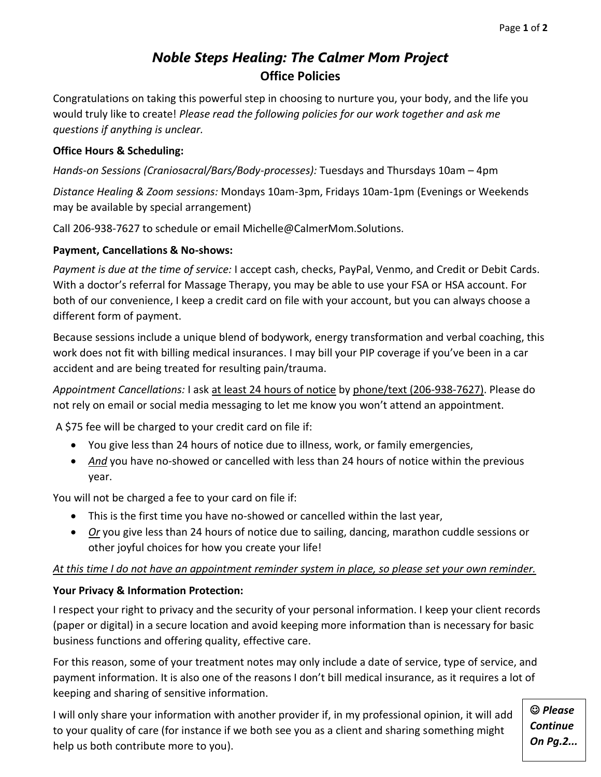# *Noble Steps Healing: The Calmer Mom Project* **Office Policies**

Congratulations on taking this powerful step in choosing to nurture you, your body, and the life you would truly like to create! *Please read the following policies for our work together and ask me questions if anything is unclear.*

# **Office Hours & Scheduling:**

*Hands-on Sessions (Craniosacral/Bars/Body-processes):* Tuesdays and Thursdays 10am – 4pm

*Distance Healing & Zoom sessions:* Mondays 10am-3pm, Fridays 10am-1pm (Evenings or Weekends may be available by special arrangement)

Call 206-938-7627 to schedule or email Michelle@CalmerMom.Solutions.

## **Payment, Cancellations & No-shows:**

*Payment is due at the time of service:* I accept cash, checks, PayPal, Venmo, and Credit or Debit Cards. With a doctor's referral for Massage Therapy, you may be able to use your FSA or HSA account. For both of our convenience, I keep a credit card on file with your account, but you can always choose a different form of payment.

Because sessions include a unique blend of bodywork, energy transformation and verbal coaching, this work does not fit with billing medical insurances. I may bill your PIP coverage if you've been in a car accident and are being treated for resulting pain/trauma.

*Appointment Cancellations:* I ask at least 24 hours of notice by phone/text (206-938-7627). Please do not rely on email or social media messaging to let me know you won't attend an appointment.

A \$75 fee will be charged to your credit card on file if:

- You give less than 24 hours of notice due to illness, work, or family emergencies,
- And you have no-showed or cancelled with less than 24 hours of notice within the previous year.

You will not be charged a fee to your card on file if:

- This is the first time you have no-showed or cancelled within the last year,
- *Or* you give less than 24 hours of notice due to sailing, dancing, marathon cuddle sessions or other joyful choices for how you create your life!

## *At this time I do not have an appointment reminder system in place, so please set your own reminder.*

# **Your Privacy & Information Protection:**

I respect your right to privacy and the security of your personal information. I keep your client records (paper or digital) in a secure location and avoid keeping more information than is necessary for basic business functions and offering quality, effective care.

For this reason, some of your treatment notes may only include a date of service, type of service, and payment information. It is also one of the reasons I don't bill medical insurance, as it requires a lot of keeping and sharing of sensitive information.

I will only share your information with another provider if, in my professional opinion, it will add to your quality of care (for instance if we both see you as a client and sharing something might help us both contribute more to you).